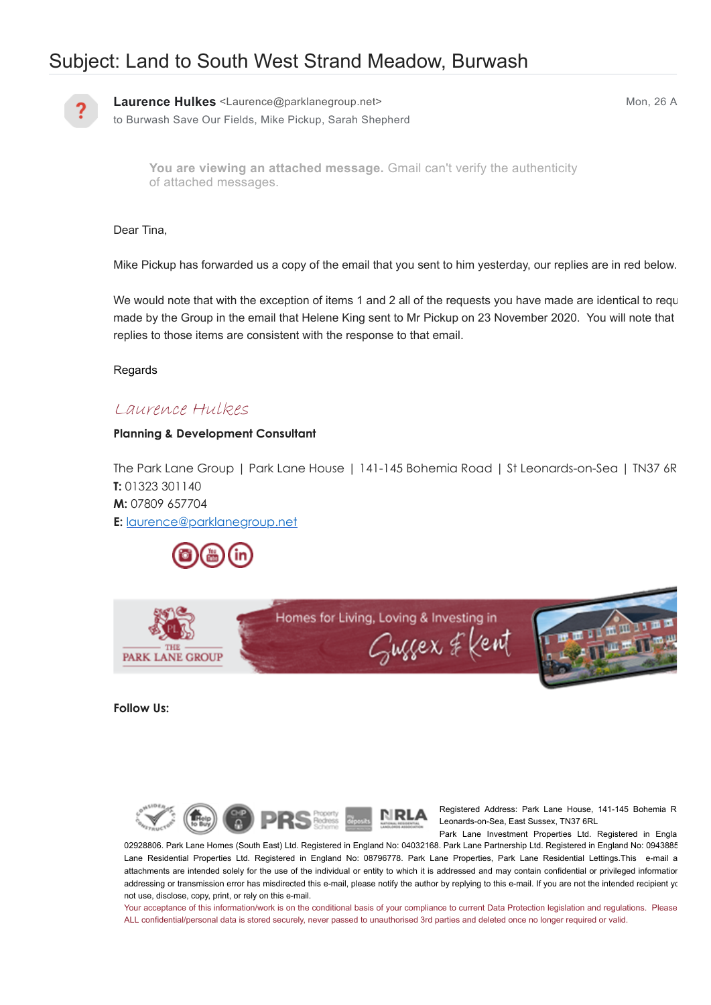# Subject: Land to South West Strand Meadow, Burwash



**Laurence Hulkes** <Laurence@parklanegroup.net> Mon, 26 A to Burwash Save Our Fields, Mike Pickup, Sarah Shepherd

You are viewing an attached message. Gmail can't verify the authenticity of attached messages.

Dear Tina,

Mike Pickup has forwarded us a copy of the email that you sent to him yesterday, our replies are in red below.

We would note that with the exception of items 1 and 2 all of the requests you have made are identical to requ made by the Group in the email that Helene King sent to Mr Pickup on 23 November 2020. You will note that replies to those items are consistent with the response to that email.

Regards

### Laurence Hulkes

#### **Planning & Development Consultant**

The Park Lane Group | Park Lane House | 141-145 Bohemia Road | St Leonards-on-Sea | TN37 6R **T:** 01323 301140 **M:** 07809 657704 **E:** [laurence@parklanegroup.net](mailto:laurence@parklanegroup.net)





**Follow Us:**



Registered Address: Park Lane House, 141-145 Bohemia R Leonards-on-Sea, East Sussex, TN37 6RL Park Lane Investment Properties Ltd. Registered in Engla

02928806. Park Lane Homes (South East) Ltd. Registered in England No: 04032168. Park Lane Partnership Ltd. Registered in England No: 0943885 Lane Residential Properties Ltd. Registered in England No: 08796778. Park Lane Properties, Park Lane Residential Lettings.This e-mail a attachments are intended solely for the use of the individual or entity to which it is addressed and may contain confidential or privileged information addressing or transmission error has misdirected this e-mail, please notify the author by replying to this e-mail. If you are not the intended recipient you not use, disclose, copy, print, or rely on this e-mail.

Your acceptance of this information/work is on the conditional basis of your compliance to current Data Protection legislation and regulations. Please ALL confidential/personal data is stored securely, never passed to unauthorised 3rd parties and deleted once no longer required or valid.